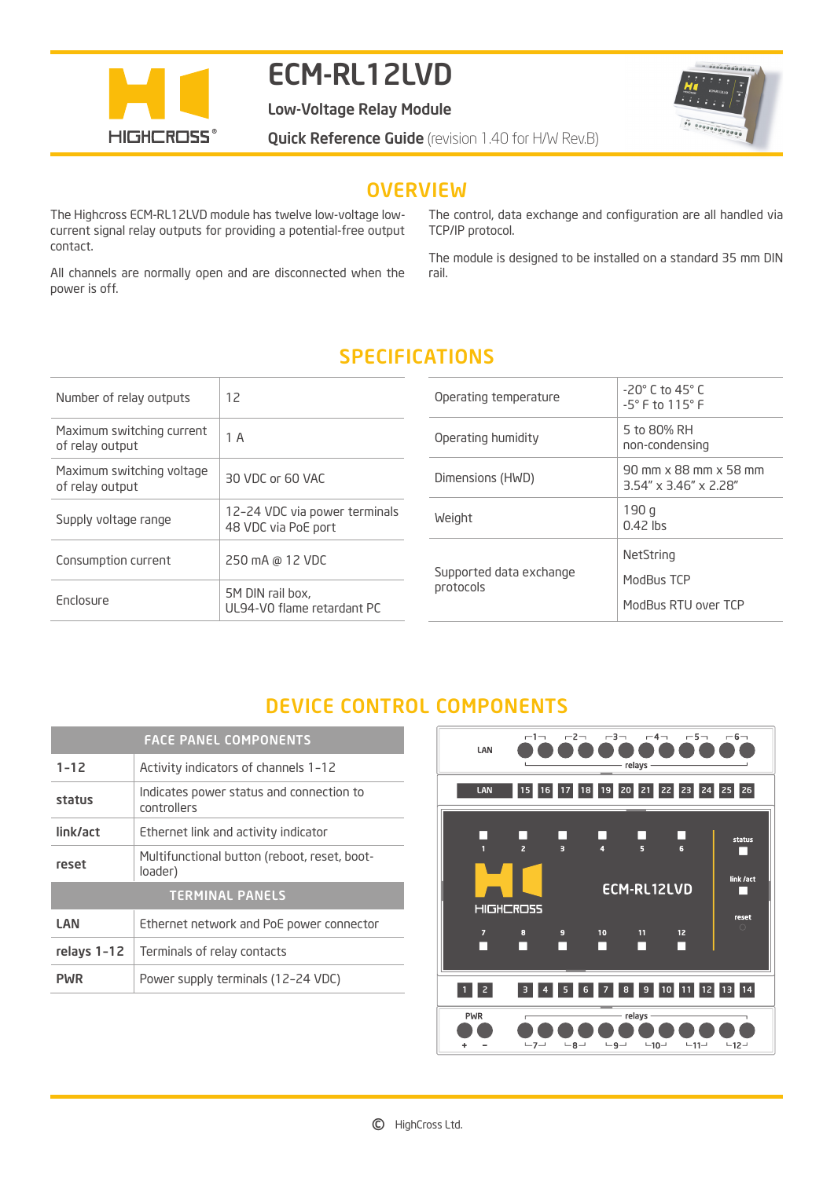

# ECM-RL12LVD

Low-Voltage Relay Module



**Quick Reference Guide** (revision 1.40 for H/W Rev.B)

#### **OVERVIEW**

The Highcross ECM-RL12LVD module has twelve low-voltage lowcurrent signal relay outputs for providing a potential-free output contact.

All channels are normally open and are disconnected when the power is off.

The control, data exchange and configuration are all handled via TCP/IP protocol.

The module is designed to be installed on a standard 35 mm DIN rail.

## SPECIFICATIONS

| Number of relay outputs                      | 12                                                   | Operating temperature                | $-20^\circ$ C to 45 $^\circ$ C<br>$-5^\circ$ F to 115 $^\circ$ F |
|----------------------------------------------|------------------------------------------------------|--------------------------------------|------------------------------------------------------------------|
| Maximum switching current<br>of relay output | 1 A                                                  | Operating humidity                   | 5 to 80% RH<br>non-condensing                                    |
| Maximum switching voltage<br>of relay output | 30 VDC or 60 VAC                                     | Dimensions (HWD)                     | 90 mm x 88 mm x 58 mm<br>$3.54'' \times 3.46'' \times 2.28''$    |
| Supply voltage range                         | 12-24 VDC via power terminals<br>48 VDC via PoE port | Weight                               | 190q<br>$0.42$ lbs                                               |
| Consumption current                          | 250 mA @ 12 VDC                                      | Supported data exchange<br>protocols | NetString<br>ModBus TCP                                          |
| <b>Enclosure</b>                             | 5M DIN rail box.<br>UL94-V0 flame retardant PC       |                                      | ModBus RTU over TCP                                              |

## DEVICE CONTROL COMPONENTS

| <b>FACE PANEL COMPONENTS</b> |                                                         |
|------------------------------|---------------------------------------------------------|
| $1 - 12$                     | Activity indicators of channels 1-12                    |
| status                       | Indicates power status and connection to<br>controllers |
| link/act                     | Ethernet link and activity indicator                    |
| reset                        | Multifunctional button (reboot, reset, boot-<br>loader) |
| <b>TERMINAL PANELS</b>       |                                                         |
| LAN                          | Ethernet network and PoE power connector                |
| relays 1-12                  | Terminals of relay contacts                             |
| <b>PWR</b>                   | Power supply terminals (12-24 VDC)                      |